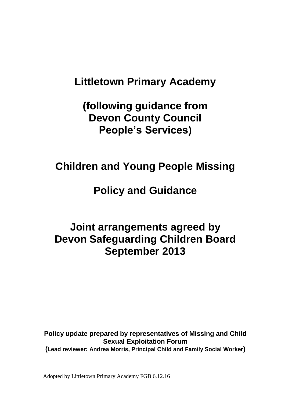# **Littletown Primary Academy**

**(following guidance from Devon County Council People's Services)**

# **Children and Young People Missing**

# **Policy and Guidance**

# **Joint arrangements agreed by Devon Safeguarding Children Board September 2013**

**Policy update prepared by representatives of Missing and Child Sexual Exploitation Forum (Lead reviewer: Andrea Morris, Principal Child and Family Social Worker)**

Adopted by Littletown Primary Academy FGB 6.12.16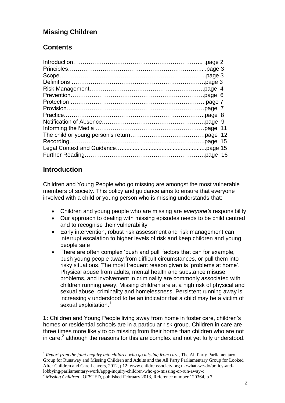# **Missing Children**

# **Contents**

# **Introduction**

1

Children and Young People who go missing are amongst the most vulnerable members of society. This policy and guidance aims to ensure that everyone involved with a child or young person who is missing understands that:

- Children and young people who are missing are *everyone's* responsibility
- Our approach to dealing with missing episodes needs to be child centred and to recognise their vulnerability
- Early intervention, robust risk assessment and risk management can interrupt escalation to higher levels of risk and keep children and young people safe
- There are often complex 'push and pull' factors that can for example, push young people away from difficult circumstances, or pull them into risky situations. The most frequent reason given is 'problems at home'. Physical abuse from adults, mental health and substance misuse problems, and involvement in criminality are commonly associated with children running away. Missing children are at a high risk of physical and sexual abuse, criminality and homelessness. Persistent running away is increasingly understood to be an indicator that a child may be a victim of sexual exploitation.<sup>1</sup>

**1:** Children and Young People living away from home in foster care, children's homes or residential schools are in a particular risk group. Children in care are three times more likely to go missing from their home than children who are not in care, $^2$  although the reasons for this are complex and not yet fully understood.

<sup>&</sup>lt;sup>1</sup> *Report from the joint enquiry into children who go missing from care*, The All Party Parliamentary Group for Runaway and Missing Children and Adults and the All Party Parliamentary Group for Looked After Children and Care Leavers, 2012, p12: www.childrenssociety.org.uk/what-we-do/policy-andlobbying/parliamentary-work/appg-inquiry-children-who-go-missing-or-run-away-c.

<sup>&</sup>lt;sup>2</sup> *Missing Children*, OFSTED, published February 2013, Reference number 120364, p 7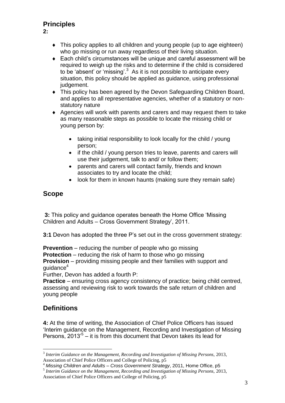# **Principles**

**2:**

- This policy applies to all children and young people (up to age eighteen) who go missing or run away regardless of their living situation.
- Each child's circumstances will be unique and careful assessment will be required to weigh up the risks and to determine if the child is considered to be 'absent' or 'missing'.<sup>3</sup> As it is not possible to anticipate every situation, this policy should be applied as guidance, using professional judgement.
- This policy has been agreed by the Devon Safeguarding Children Board, and applies to all representative agencies, whether of a statutory or nonstatutory nature
- Agencies will work with parents and carers and may request them to take as many reasonable steps as possible to locate the missing child or young person by:
	- taking initial responsibility to look locally for the child / young person;
	- if the child / young person tries to leave, parents and carers will use their judgement, talk to and/ or follow them;
	- parents and carers will contact family, friends and known associates to try and locate the child;
	- look for them in known haunts (making sure they remain safe)

## **Scope**

**3:** This policy and guidance operates beneath the Home Office 'Missing Children and Adults – Cross Government Strategy', 2011.

**3:1** Devon has adopted the three P's set out in the cross government strategy:

**Prevention** – reducing the number of people who go missing **Protection** – reducing the risk of harm to those who go missing **Provision** – providing missing people and their families with support and quidance $4$ 

Further, Devon has added a fourth P:

**Practice** – ensuring cross agency consistency of practice; being child centred, assessing and reviewing risk to work towards the safe return of children and young people

# **Definitions**

1

**4:** At the time of writing, the Association of Chief Police Officers has issued 'Interim guidance on the Management, Recording and Investigation of Missing Persons,  $2013^{5}$  – it is from this document that Devon takes its lead for

<sup>3</sup> *Interim Guidance on the Management, Recording and Investigation of Missing Persons,* 2013, Association of Chief Police Officers and College of Policing, p5

<sup>4</sup> *Missing Children and Adults – Cross Government Strategy*, 2011, Home Office, p5 5 *Interim Guidance on the Management, Recording and Investigation of Missing Persons,* 2013,

Association of Chief Police Officers and College of Policing, p5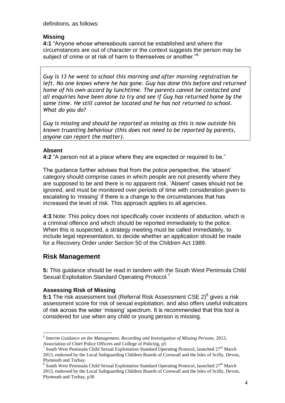definitions, as follows:

### **Missing**

**4:1** "Anyone whose whereabouts cannot be established and where the circumstances are out of character or the context suggests the person may be subject of crime or at risk of harm to themselves or another."<sup>6</sup>

*Guy is 13 he went to school this morning and after morning registration he left. No one knows where he has gone. Guy has done this before and returned home of his own accord by lunchtime. The parents cannot be contacted and all enquiries have been done to try and see if Guy has returned home by the same time. He still cannot be located and he has not returned to school. What do you do?*

*Guy is missing and should be reported as missing as this is now outside his known truanting behaviour (this does not need to be reported by parents, anyone can report the matter).*

### **Absent**

**4:2** "A person not at a place where they are expected or required to be."

The guidance further advises that from the police perspective, the 'absent' category should comprise cases in which people are not presently where they are supposed to be and there is no apparent risk. 'Absent' cases should not be ignored, and must be monitored over periods of time with consideration given to escalating to 'missing' if there is a change to the circumstances that has increased the level of risk. This approach applies to all agencies.

**4:3** Note: This policy does not specifically cover incidents of abduction, which is a criminal offence and which should be reported immediately to the police. When this is suspected, a strategy meeting must be called immediately, to include legal representation, to decide whether an application should be made for a Recovery Order under Section 50 of the Children Act 1989.

# **Risk Management**

1

**5:** This guidance should be read in tandem with the South West Peninsula Child Sexual Exploitation Standard Operating Protocol.

## **Assessing Risk of Missing**

**5:1** The risk assessment tool (Referral Risk Assessment CSE 2)<sup>8</sup> gives a risk assessment score for risk of sexual exploitation, and also offers useful indicators of risk across the wider 'missing' spectrum. It is recommended that this tool is considered for use when any child or young person is missing.

<sup>6</sup> *Interim Guidance on the Management, Recording and Investigation of Missing Persons,* 2013, Association of Chief Police Officers and College of Policing, p5

<sup>&</sup>lt;sup>7</sup> South West Peninsula Child Sexual Exploitation Standard Operating Protocol, launched 27<sup>th</sup> March 2013, endorsed by the Local Safeguarding Children Boards of Cornwall and the Isles of Scilly, Devon, Plymouth and Torbay.

 $8$  South West Peninsula Child Sexual Exploitation Standard Operating Protocol, launched  $27<sup>th</sup>$  March 2013, endorsed by the Local Safeguarding Children Boards of Cornwall and the Isles of Scilly, Devon, Plymouth and Torbay, p30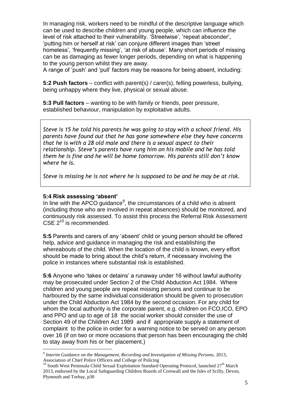In managing risk, workers need to be mindful of the descriptive language which can be used to describe children and young people, which can influence the level of risk attached to their vulnerability. 'Streetwise', 'repeat absconder', 'putting him or herself at risk' can conjure different images than 'street homeless', 'frequently missing', 'at risk of abuse'. Many short periods of missing can be as damaging as fewer longer periods, depending on what is happening to the young person whilst they are away.

A range of 'push' and 'pull' factors may be reasons for being absent, including:

**5:2 Push factors** – conflict with parent(s) / carer(s), felling powerless, bullying, being unhappy where they live, physical or sexual abuse.

**5:3 Pull factors** – wanting to be with family or friends, peer pressure, established behaviour, manipulation by exploitative adults.

*Steve is 15 he told his parents he was going to stay with a school friend. His parents have found out that he has gone somewhere else they have concerns that he is with a 28 old male and there is a sexual aspect to their relationship. Steve's parents have rung him on his mobile and he has told them he is fine and he will be home tomorrow. His parents still don't know where he is.*

*Steve is missing he is not where he is supposed to be and he may be at risk.*

### **5:4 Risk assessing 'absent'**

1

In line with the APCO guidance<sup>9</sup>, the circumstances of a child who is absent (including those who are involved in repeat absences) should be monitored, and continuously risk assessed. To assist this process the Referral Risk Assessment CSE  $2^{10}$  is recommended.

**5:5** Parents and carers of any 'absent' child or young person should be offered help, advice and guidance in managing the risk and establishing the whereabouts of the child. When the location of the child is known, every effort should be made to bring about the child's return, if necessary involving the police in instances where substantial risk is established.

**5:6** Anyone who 'takes or detains' a runaway under 16 without lawful authority may be prosecuted under Section 2 of the Child Abduction Act 1984. Where children and young people are repeat missing persons and continue to be harboured by the same individual consideration should be given to prosecution under the Child Abduction Act 1984 by the second occasion. For any child for whom the local authority is the corporate parent, e.g. children on FCO,ICO, EPO and PPO and up to age of 18 the social worker should consider the use of Section 49 of the Children Act 1989 and if appropriate supply a statement of complaint to the police in order for a warning notice to be served on any person over 16 (if on two or more occasions that person has been encouraging the child to stay away from his or her placement.)

<sup>9</sup> *Interim Guidance on the Management, Recording and Investigation of Missing Persons,* 2013, Association of Chief Police Officers and College of Policing

<sup>&</sup>lt;sup>10</sup> South West Peninsula Child Sexual Exploitation Standard Operating Protocol, launched  $27<sup>th</sup>$  March 2013, endorsed by the Local Safeguarding Children Boards of Cornwall and the Isles of Scilly, Devon, Plymouth and Torbay, p30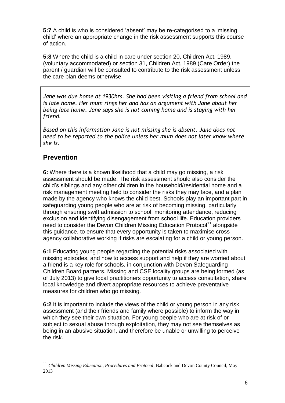**5:7** A child is who is considered 'absent' may be re-categorised to a 'missing child' where an appropriate change in the risk assessment supports this course of action.

**5:8** Where the child is a child in care under section 20, Children Act, 1989, (voluntary accommodated) or section 31, Children Act, 1989 (Care Order) the parent / guardian will be consulted to contribute to the risk assessment unless the care plan deems otherwise.

*Jane was due home at 1930hrs. She had been visiting a friend from school and is late home. Her mum rings her and has an argument with Jane about her being late home. Jane says she is not coming home and is staying with her friend.*

*Based on this information Jane is not missing she is absent. Jane does not need to be reported to the police unless her mum does not later know where she is.* 

# **Prevention**

<u>.</u>

**6:** Where there is a known likelihood that a child may go missing, a risk assessment should be made. The risk assessment should also consider the child's siblings and any other children in the household/residential home and a risk management meeting held to consider the risks they may face, and a plan made by the agency who knows the child best. Schools play an important part in safeguarding young people who are at risk of becoming missing, particularly through ensuring swift admission to school, monitoring attendance, reducing exclusion and identifying disengagement from school life. Education providers need to consider the Devon Children Missing Education Protocol<sup>11</sup> alongside this guidance, to ensure that every opportunity is taken to maximise cross agency collaborative working if risks are escalating for a child or young person.

**6:1** Educating young people regarding the potential risks associated with missing episodes, and how to access support and help if they are worried about a friend is a key role for schools, in conjunction with Devon Safeguarding Children Board partners. Missing and CSE locality groups are being formed (as of July 2013) to give local practitioners opportunity to access consultation, share local knowledge and divert appropriate resources to achieve preventative measures for children who go missing.

**6:2** It is important to include the views of the child or young person in any risk assessment (and their friends and family where possible) to inform the way in which they see their own situation. For young people who are at risk of or subject to sexual abuse through exploitation, they may not see themselves as being in an abusive situation, and therefore be unable or unwilling to perceive the risk.

<sup>11</sup> *Children Missing Education, Procedures and Protocol*, Babcock and Devon County Council, May 2013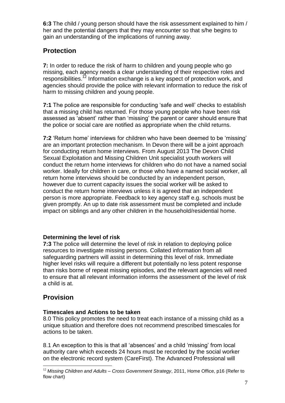**6:3** The child / young person should have the risk assessment explained to him / her and the potential dangers that they may encounter so that s/he begins to gain an understanding of the implications of running away.

# **Protection**

**7:** In order to reduce the risk of harm to children and young people who go missing, each agency needs a clear understanding of their respective roles and responsibilities.<sup>12</sup> Information exchange is a key aspect of protection work, and agencies should provide the police with relevant information to reduce the risk of harm to missing children and young people.

**7:1** The police are responsible for conducting 'safe and well' checks to establish that a missing child has returned. For those young people who have been risk assessed as 'absent' rather than 'missing' the parent or carer should ensure that the police or social care are notified as appropriate when the child returns.

**7:2** 'Return home' interviews for children who have been deemed to be 'missing' are an important protection mechanism. In Devon there will be a joint approach for conducting return home interviews. From August 2013 The Devon Child Sexual Exploitation and Missing Children Unit specialist youth workers will conduct the return home interviews for children who do not have a named social worker. Ideally for children in care, or those who have a named social worker, all return home interviews should be conducted by an independent person, however due to current capacity issues the social worker will be asked to conduct the return home interviews unless it is agreed that an independent person is more appropriate. Feedback to key agency staff e.g. schools must be given promptly. An up to date risk assessment must be completed and include impact on siblings and any other children in the household/residential home.

## **Determining the level of risk**

**7:3** The police will determine the level of risk in relation to deploying police resources to investigate missing persons. Collated information from all safeguarding partners will assist in determining this level of risk. Immediate higher level risks will require a different but potentially no less potent response than risks borne of repeat missing episodes, and the relevant agencies will need to ensure that all relevant information informs the assessment of the level of risk a child is at.

# **Provision**

1

## **Timescales and Actions to be taken**

8.0 This policy promotes the need to treat each instance of a missing child as a unique situation and therefore does not recommend prescribed timescales for actions to be taken.

8.1 An exception to this is that all 'absences' and a child 'missing' from local authority care which exceeds 24 hours must be recorded by the social worker on the electronic record system (CareFirst). The Advanced Professional will

<sup>12</sup> *Missing Children and Adults – Cross Government Strategy*, 2011, Home Office, p16 (Refer to flow chart)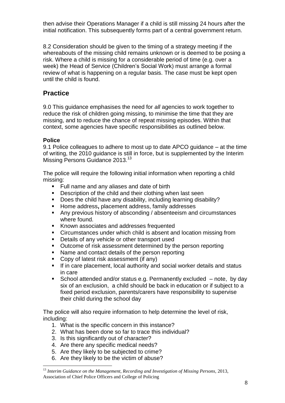then advise their Operations Manager if a child is still missing 24 hours after the initial notification. This subsequently forms part of a central government return.

8.2 Consideration should be given to the timing of a strategy meeting if the whereabouts of the missing child remains unknown or is deemed to be posing a risk. Where a child is missing for a considerable period of time (e.g. over a week) the Head of Service (Children's Social Work) must arrange a formal review of what is happening on a regular basis. The case must be kept open until the child is found.

# **Practice**

9.0 This guidance emphasises the need for *all* agencies to work together to reduce the risk of children going missing, to minimise the time that they are missing, and to reduce the chance of repeat missing episodes. Within that context, some agencies have specific responsibilities as outlined below.

## **Police**

1

9.1 Police colleagues to adhere to most up to date APCO guidance – at the time of writing, the 2010 guidance is still in force, but is supplemented by the Interim Missing Persons Guidance 2013.<sup>13</sup>

The police will require the following initial information when reporting a child missing:

- Full name and any aliases and date of birth
- **Description of the child and their clothing when last seen**
- Does the child have any disability, including learning disability?
- **Home address, placement address, family addresses**<br>**Any previous history of absconding / absenteeism and**
- Any previous history of absconding / absenteeism and circumstances where found.
- Known associates and addresses frequented
- Circumstances under which child is absent and location missing from
- **•** Details of any vehicle or other transport used
- Outcome of risk assessment determined by the person reporting
- Name and contact details of the person reporting
- Copy of latest risk assessment (if any)
- If in care placement, local authority and social worker details and status in care
- School attended and/or status e.g. Permanently excluded note, by day six of an exclusion, a child should be back in education or if subject to a fixed period exclusion, parents/carers have responsibility to supervise their child during the school day

The police will also require information to help determine the level of risk, including:

- 1. What is the specific concern in this instance?
- 2. What has been done so far to trace this individual?
- 3. Is this significantly out of character?
- 4. Are there any specific medical needs?
- 5. Are they likely to be subjected to crime?
- 6. Are they likely to be the victim of abuse?

<sup>13</sup> *Interim Guidance on the Management, Recording and Investigation of Missing Persons,* 2013, Association of Chief Police Officers and College of Policing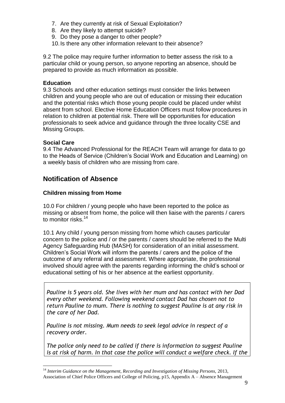- 7. Are they currently at risk of Sexual Exploitation?
- 8. Are they likely to attempt suicide?
- 9. Do they pose a danger to other people?
- 10.Is there any other information relevant to their absence?

9.2 The police may require further information to better assess the risk to a particular child or young person, so anyone reporting an absence, should be prepared to provide as much information as possible.

### **Education**

9.3 Schools and other education settings must consider the links between children and young people who are out of education or missing their education and the potential risks which those young people could be placed under whilst absent from school. Elective Home Education Officers must follow procedures in relation to children at potential risk. There will be opportunities for education professionals to seek advice and guidance through the three locality CSE and Missing Groups.

#### **Social Care**

1

9.4 The Advanced Professional for the REACH Team will arrange for data to go to the Heads of Service (Children's Social Work and Education and Learning) on a weekly basis of children who are missing from care.

## **Notification of Absence**

### **Children missing from Home**

10.0 For children / young people who have been reported to the police as missing or absent from home, the police will then liaise with the parents / carers to monitor risks.<sup>14</sup>

10.1 Any child / young person missing from home which causes particular concern to the police and / or the parents / carers should be referred to the Multi Agency Safeguarding Hub (MASH) for consideration of an initial assessment. Children's Social Work will inform the parents / carers and the police of the outcome of any referral and assessment. Where appropriate, the professional involved should agree with the parents regarding informing the child's school or educational setting of his or her absence at the earliest opportunity.

*Pauline is 5 years old. She lives with her mum and has contact with her Dad every other weekend. Following weekend contact Dad has chosen not to return Pauline to mum. There is nothing to suggest Pauline is at any risk in the care of her Dad.*

*Pauline is not missing. Mum needs to seek legal advice in respect of a recovery order.*

*The police only need to be called if there is information to suggest Pauline is at risk of harm. In that case the police will conduct a welfare check. If the* 

<sup>14</sup> *Interim Guidance on the Management, Recording and Investigation of Missing Persons,* 2013, Association of Chief Police Officers and College of Policing, p15, Appendix A – Absence Management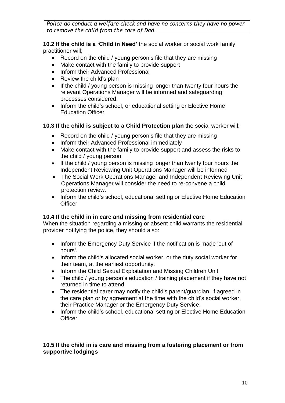Police do conduct a welfare check and have no concerns they have no power *to remove the child from the care of Dad.*

**10.2 If the child is a 'Child in Need'** the social worker or social work family practitioner will;

- Record on the child / young person's file that they are missing
- Make contact with the family to provide support
- Inform their Advanced Professional
- $\bullet$  Review the child's plan
- If the child / young person is missing longer than twenty four hours the relevant Operations Manager will be informed and safeguarding processes considered.
- Inform the child's school, or educational setting or Elective Home Education Officer

### **10.3 If the child is subject to a Child Protection plan** the social worker will;

- Record on the child / young person's file that they are missing
- Inform their Advanced Professional immediately
- Make contact with the family to provide support and assess the risks to the child / young person
- If the child / young person is missing longer than twenty four hours the Independent Reviewing Unit Operations Manager will be informed
- The Social Work Operations Manager and Independent Reviewing Unit Operations Manager will consider the need to re-convene a child protection review.
- Inform the child's school, educational setting or Elective Home Education **Officer**

#### **10.4 If the child in in care and missing from residential care**

When the situation regarding a missing or absent child warrants the residential provider notifying the police, they should also:

- Inform the Emergency Duty Service if the notification is made 'out of hours'.
- Inform the child's allocated social worker, or the duty social worker for their team, at the earliest opportunity.
- Inform the Child Sexual Exploitation and Missing Children Unit
- The child / young person's education / training placement if they have not returned in time to attend
- The residential carer may notify the child's parent/guardian, if agreed in the care plan or by agreement at the time with the child's social worker, their Practice Manager or the Emergency Duty Service.
- Inform the child's school, educational setting or Elective Home Education **Officer**

### **10.5 If the child in is care and missing from a fostering placement or from supportive lodgings**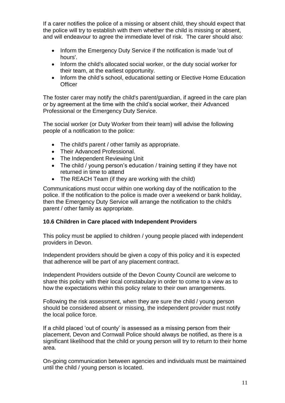If a carer notifies the police of a missing or absent child, they should expect that the police will try to establish with them whether the child is missing or absent, and will endeavour to agree the immediate level of risk. The carer should also:

- Inform the Emergency Duty Service if the notification is made 'out of hours'.
- Inform the child's allocated social worker, or the duty social worker for their team, at the earliest opportunity.
- Inform the child's school, educational setting or Elective Home Education **Officer**

The foster carer may notify the child's parent/guardian, if agreed in the care plan or by agreement at the time with the child's social worker, their Advanced Professional or the Emergency Duty Service.

The social worker (or Duty Worker from their team) will advise the following people of a notification to the police:

- The child's parent / other family as appropriate.
- Their Advanced Professional.
- The Independent Reviewing Unit
- The child / young person's education / training setting if they have not returned in time to attend
- The REACH Team (if they are working with the child)

Communications must occur within one working day of the notification to the police. If the notification to the police is made over a weekend or bank holiday, then the Emergency Duty Service will arrange the notification to the child's parent / other family as appropriate.

#### **10.6 Children in Care placed with Independent Providers**

This policy must be applied to children / young people placed with independent providers in Devon.

Independent providers should be given a copy of this policy and it is expected that adherence will be part of any placement contract.

Independent Providers outside of the Devon County Council are welcome to share this policy with their local constabulary in order to come to a view as to how the expectations within this policy relate to their own arrangements.

Following the risk assessment, when they are sure the child / young person should be considered absent or missing, the independent provider must notify the local police force.

If a child placed 'out of county' is assessed as a missing person from their placement, Devon and Cornwall Police should always be notified, as there is a significant likelihood that the child or young person will try to return to their home area.

On-going communication between agencies and individuals must be maintained until the child / young person is located.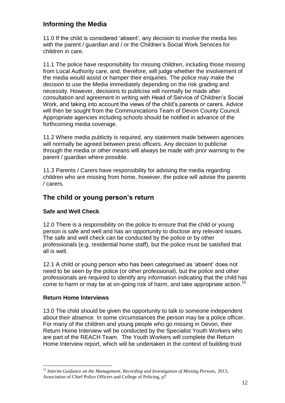# **Informing the Media**

11.0 If the child is considered 'absent', any decision to involve the media lies with the parent / guardian and / or the Children's Social Work Services for children in care.

11.1 The police have responsibility for missing children, including those missing from Local Authority care, and, therefore, will judge whether the involvement of the media would assist or hamper their enquiries. The police may make the decision to use the Media immediately depending on the risk grading and necessity. However, decisions to publicise will normally be made after consultation and agreement in writing with Head of Service of Children's Social Work, and taking into account the views of the child's parents or carers. Advice will then be sought from the Communications Team of Devon County Council. Appropriate agencies including schools should be notified in advance of the forthcoming media coverage.

11.2 Where media publicity is required, any statement made between agencies will normally be agreed between press officers. Any decision to publicise through the media or other means will always be made with prior warning to the parent / guardian where possible.

11.3 Parents / Carers have responsibility for advising the media regarding children who are missing from home, however, the police will advise the parents / carers.

## **The child or young person's return**

## **Safe and Well Check**

12.0 There is a responsibility on the police to ensure that the child or young person is safe and well and has an opportunity to disclose any relevant issues. The safe and well check can be conducted by the police or by other professionals (e.g. residential home staff), but the police must be satisfied that all is well.

12.1 A child or young person who has been categorised as 'absent' does not need to be seen by the police (or other professional), but the police and other professionals are required to identify any information indicating that the child has come to harm or may be at on-going risk of harm, and take appropriate action.<sup>15</sup>

## **Return Home Interviews**

1

13.0 The child should be given the opportunity to talk to someone independent about their absence. In some circumstances the person may be a police officer. For many of the children and young people who go missing in Devon, their Return Home Interview will be conducted by the Specialist Youth Workers who are part of the REACH Team. The Youth Workers will complete the Return Home Interview report, which will be undertaken in the context of building trust

<sup>15</sup> *Interim Guidance on the Management, Recording and Investigation of Missing Persons,* 2013, Association of Chief Police Officers and College of Policing, p7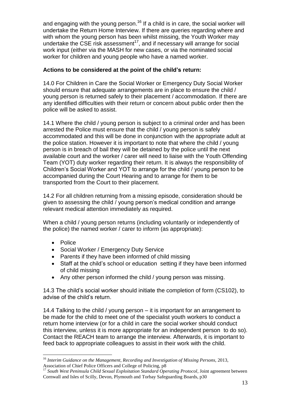and engaging with the young person.<sup>16</sup> If a child is in care, the social worker will undertake the Return Home Interview. If there are queries regarding where and with whom the young person has been whilst missing, the Youth Worker may undertake the CSE risk assessment<sup>17</sup>, and if necessary will arrange for social work input (either via the MASH for new cases, or via the nominated social worker for children and young people who have a named worker.

### **Actions to be considered at the point of the child's return:**

14.0 For Children in Care the Social Worker or Emergency Duty Social Worker should ensure that adequate arrangements are in place to ensure the child / young person is returned safely to their placement / accommodation. If there are any identified difficulties with their return or concern about public order then the police will be asked to assist.

14.1 Where the child / young person is subject to a criminal order and has been arrested the Police must ensure that the child / young person is safely accommodated and this will be done in conjunction with the appropriate adult at the police station. However it is important to note that where the child / young person is in breach of bail they will be detained by the police until the next available court and the worker / carer will need to liaise with the Youth Offending Team (YOT) duty worker regarding their return. It is always the responsibility of Children's Social Worker and YOT to arrange for the child / young person to be accompanied during the Court Hearing and to arrange for them to be transported from the Court to their placement.

14.2 For all children returning from a missing episode, consideration should be given to assessing the child / young person's medical condition and arrange relevant medical attention immediately as required.

When a child / young person returns (including voluntarily or independently of the police) the named worker / carer to inform (as appropriate):

• Police

1

- Social Worker / Emergency Duty Service
- Parents if they have been informed of child missing
- Staff at the child's school or education setting if they have been informed of child missing
- Any other person informed the child / young person was missing.

14.3 The child's social worker should initiate the completion of form (CS102), to advise of the child's return.

14.4 Talking to the child / young person – it is important for an arrangement to be made for the child to meet one of the specialist youth workers to conduct a return home interview (or for a child in care the social worker should conduct this interview, unless it is more appropriate for an independent person to do so). Contact the REACH team to arrange the interview. Afterwards, it is important to feed back to appropriate colleagues to assist in their work with the child.

<sup>16</sup> *Interim Guidance on the Management, Recording and Investigation of Missing Persons,* 2013, Association of Chief Police Officers and College of Policing, p8

<sup>&</sup>lt;sup>17</sup> South West Peninsula Child Sexual Exploitation Standard Operating Protocol, Joint agreement between Cornwall and Isles of Scilly, Devon, Plymouth and Torbay Safeguarding Boards, p30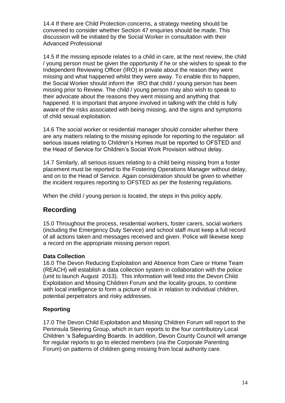14.4 If there are Child Protection concerns, a strategy meeting should be convened to consider whether Section 47 enquiries should be made. This discussion will be initiated by the Social Worker in consultation with their Advanced Professional

14.5 If the missing episode relates to a child in care, at the next review, the child / young person must be given the opportunity if he or she wishes to speak to the Independent Reviewing Officer (IRO) in private about the reason they went missing and what happened whilst they were away. To enable this to happen, the Social Worker should inform the IRO that child / young person has been missing prior to Review. The child / young person may also wish to speak to their advocate about the reasons they went missing and anything that happened. It is important that anyone involved in talking with the child is fully aware of the risks associated with being missing, and the signs and symptoms of child sexual exploitation.

14.6 The social worker or residential manager should consider whether there are any matters relating to the missing episode for reporting to the regulator: all serious issues relating to Children's Homes must be reported to OFSTED and the Head of Service for Children's Social Work Provision without delay.

14.7 Similarly, all serious issues relating to a child being missing from a foster placement must be reported to the Fostering Operations Manager without delay, and on to the Head of Service. Again consideration should be given to whether the incident requires reporting to OFSTED as per the fostering regulations.

When the child / young person is located, the steps in this policy apply.

# **Recording**

15.0 Throughout the process, residential workers, foster carers, social workers (including the Emergency Duty Service) and school staff must keep a full record of all actions taken and messages received and given. Police will likewise keep a record on the appropriate missing person report.

## **Data Collection**

16.0 The Devon Reducing Exploitation and Absence from Care or Home Team (REACH) will establish a data collection system in collaboration with the police (unit to launch August 2013). This information will feed into the Devon Child Exploitation and Missing Children Forum and the locality groups, to combine with local intelligence to form a picture of risk in relation to individual children, potential perpetrators and risky addresses.

## **Reporting**

17.0 The Devon Child Exploitation and Missing Children Forum will report to the Peninsula Steering Group, which in turn reports to the four contributory Local Children 's Safeguarding Boards. In addition, Devon County Council will arrange for regular reports to go to elected members (via the Corporate Parenting Forum) on patterns of children going missing from local authority care.